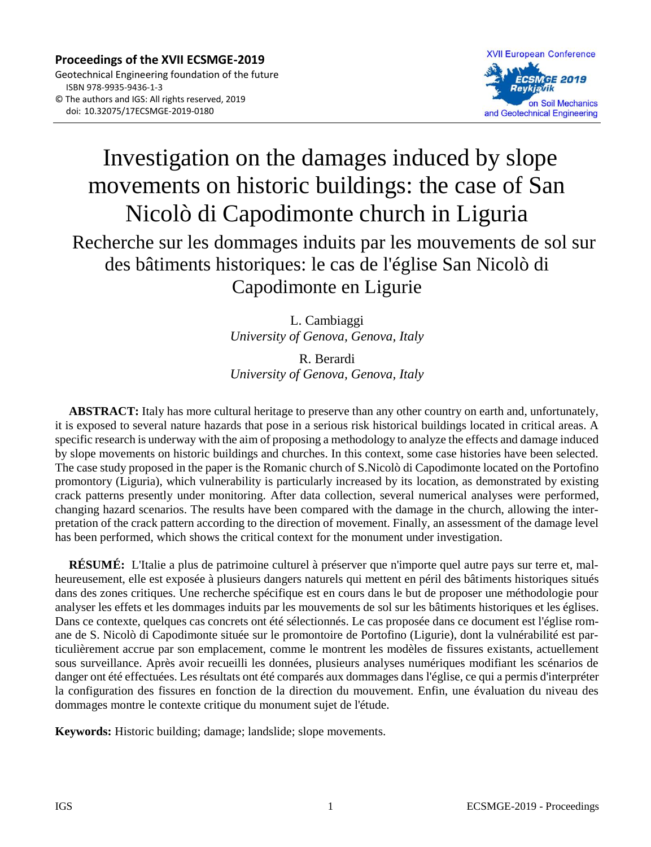

# Investigation on the damages induced by slope movements on historic buildings: the case of San Nicolò di Capodimonte church in Liguria Recherche sur les dommages induits par les mouvements de sol sur des bâtiments historiques: le cas de l'église San Nicolò di Capodimonte en Ligurie

L. Cambiaggi *University of Genova, Genova, Italy*

R. Berardi *University of Genova, Genova, Italy*

**ABSTRACT:** Italy has more cultural heritage to preserve than any other country on earth and, unfortunately, it is exposed to several nature hazards that pose in a serious risk historical buildings located in critical areas. A specific research is underway with the aim of proposing a methodology to analyze the effects and damage induced by slope movements on historic buildings and churches. In this context, some case histories have been selected. The case study proposed in the paper is the Romanic church of S.Nicolò di Capodimonte located on the Portofino promontory (Liguria), which vulnerability is particularly increased by its location, as demonstrated by existing crack patterns presently under monitoring. After data collection, several numerical analyses were performed, changing hazard scenarios. The results have been compared with the damage in the church, allowing the interpretation of the crack pattern according to the direction of movement. Finally, an assessment of the damage level has been performed, which shows the critical context for the monument under investigation.

**RÉSUMÉ:** L'Italie a plus de patrimoine culturel à préserver que n'importe quel autre pays sur terre et, malheureusement, elle est exposée à plusieurs dangers naturels qui mettent en péril des bâtiments historiques situés dans des zones critiques. Une recherche spécifique est en cours dans le but de proposer une méthodologie pour analyser les effets et les dommages induits par les mouvements de sol sur les bâtiments historiques et les églises. Dans ce contexte, quelques cas concrets ont été sélectionnés. Le cas proposée dans ce document est l'église romane de S. Nicolò di Capodimonte située sur le promontoire de Portofino (Ligurie), dont la vulnérabilité est particulièrement accrue par son emplacement, comme le montrent les modèles de fissures existants, actuellement sous surveillance. Après avoir recueilli les données, plusieurs analyses numériques modifiant les scénarios de danger ont été effectuées. Les résultats ont été comparés aux dommages dans l'église, ce qui a permis d'interpréter la configuration des fissures en fonction de la direction du mouvement. Enfin, une évaluation du niveau des dommages montre le contexte critique du monument sujet de l'étude.

**Keywords:** Historic building; damage; landslide; slope movements.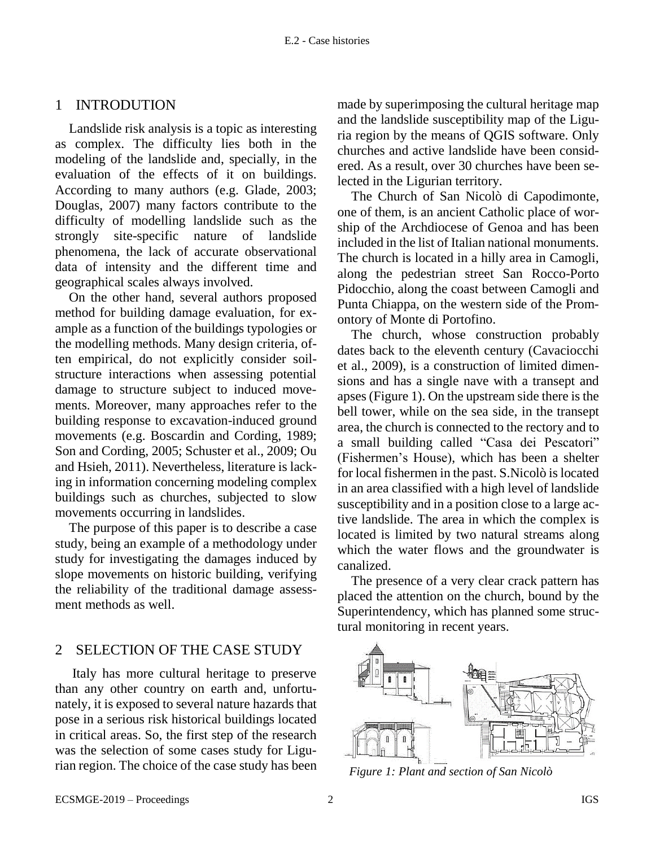### 1 INTRODUTION

Landslide risk analysis is a topic as interesting as complex. The difficulty lies both in the modeling of the landslide and, specially, in the evaluation of the effects of it on buildings. According to many authors (e.g. Glade, 2003; Douglas, 2007) many factors contribute to the difficulty of modelling landslide such as the strongly site-specific nature of landslide phenomena, the lack of accurate observational data of intensity and the different time and geographical scales always involved.

On the other hand, several authors proposed method for building damage evaluation, for example as a function of the buildings typologies or the modelling methods. Many design criteria, often empirical, do not explicitly consider soilstructure interactions when assessing potential damage to structure subject to induced movements. Moreover, many approaches refer to the building response to excavation-induced ground movements (e.g. Boscardin and Cording, 1989; Son and Cording, 2005; Schuster et al., 2009; Ou and Hsieh, 2011). Nevertheless, literature is lacking in information concerning modeling complex buildings such as churches, subjected to slow movements occurring in landslides.

The purpose of this paper is to describe a case study, being an example of a methodology under study for investigating the damages induced by slope movements on historic building, verifying the reliability of the traditional damage assessment methods as well.

## 2 SELECTION OF THE CASE STUDY

Italy has more cultural heritage to preserve than any other country on earth and, unfortunately, it is exposed to several nature hazards that pose in a serious risk historical buildings located in critical areas. So, the first step of the research was the selection of some cases study for Ligurian region. The choice of the case study has been made by superimposing the cultural heritage map and the landslide susceptibility map of the Liguria region by the means of QGIS software. Only churches and active landslide have been considered. As a result, over 30 churches have been selected in the Ligurian territory.

The Church of San Nicolò di Capodimonte, one of them, is an ancient Catholic place of worship of the Archdiocese of Genoa and has been included in the list of Italian national monuments. The church is located in a hilly area in Camogli, along the pedestrian street San Rocco-Porto Pidocchio, along the coast between Camogli and Punta Chiappa, on the western side of the Promontory of Monte di Portofino.

The church, whose construction probably dates back to the eleventh century (Cavaciocchi et al., 2009), is a construction of limited dimensions and has a single nave with a transept and apses (Figure 1). On the upstream side there is the bell tower, while on the sea side, in the transept area, the church is connected to the rectory and to a small building called "Casa dei Pescatori" (Fishermen's House), which has been a shelter for local fishermen in the past. S.Nicolò is located in an area classified with a high level of landslide susceptibility and in a position close to a large active landslide. The area in which the complex is located is limited by two natural streams along which the water flows and the groundwater is canalized.

The presence of a very clear crack pattern has placed the attention on the church, bound by the Superintendency, which has planned some structural monitoring in recent years.



*Figure 1: Plant and section of San Nicolò*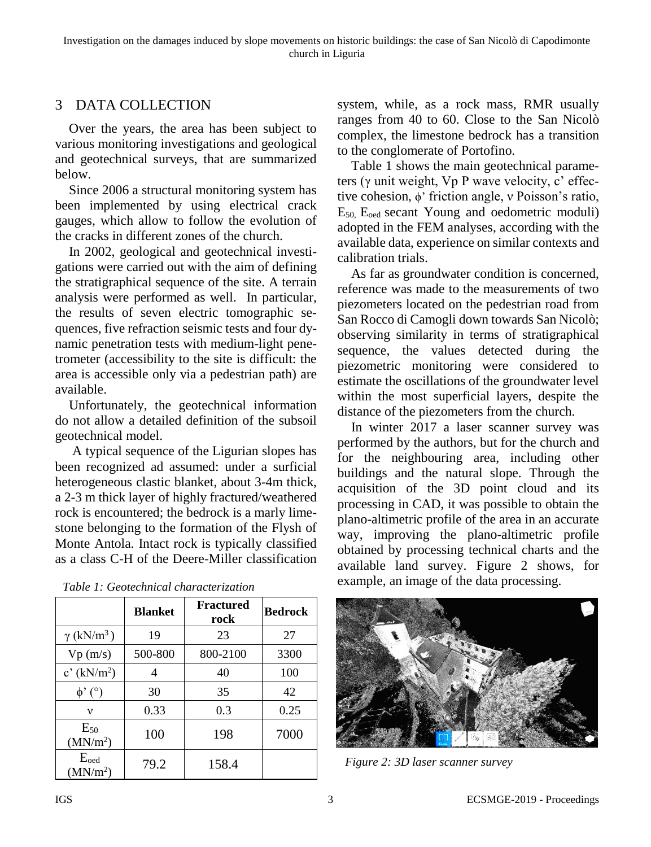# 3 DATA COLLECTION

Over the years, the area has been subject to various monitoring investigations and geological and geotechnical surveys, that are summarized below.

Since 2006 a structural monitoring system has been implemented by using electrical crack gauges, which allow to follow the evolution of the cracks in different zones of the church.

In 2002, geological and geotechnical investigations were carried out with the aim of defining the stratigraphical sequence of the site. A terrain analysis were performed as well. In particular, the results of seven electric tomographic sequences, five refraction seismic tests and four dynamic penetration tests with medium-light penetrometer (accessibility to the site is difficult: the area is accessible only via a pedestrian path) are available.

Unfortunately, the geotechnical information do not allow a detailed definition of the subsoil geotechnical model.

A typical sequence of the Ligurian slopes has been recognized ad assumed: under a surficial heterogeneous clastic blanket, about 3-4m thick, a 2-3 m thick layer of highly fractured/weathered rock is encountered; the bedrock is a marly limestone belonging to the formation of the Flysh of Monte Antola. Intact rock is typically classified as a class C-H of the Deere-Miller classification

|                                          | <b>Blanket</b> | <b>Fractured</b><br>rock | <b>Bedrock</b> |
|------------------------------------------|----------------|--------------------------|----------------|
| $\gamma$ (kN/m <sup>3</sup> )            | 19             | 23                       | 27             |
| Vp(m/s)                                  | 500-800        | 800-2100                 | 3300           |
| c' $(kN/m2)$                             | 4              | 40                       | 100            |
| $\phi'$ (°)                              | 30             | 35                       | 42             |
| v                                        | 0.33           | 0.3                      | 0.25           |
| $E_{50}$<br>(MN/m <sup>2</sup> )         | 100            | 198                      | 7000           |
| $E_{\text{oed}}$<br>(MN/m <sup>2</sup> ) | 79.2           | 158.4                    |                |

*Table 1: Geotechnical characterization*

system, while, as a rock mass, RMR usually ranges from 40 to 60. Close to the San Nicolò complex, the limestone bedrock has a transition to the conglomerate of Portofino.

Table 1 shows the main geotechnical parameters (γ unit weight, Vp P wave velocity, c' effective cohesion, ϕ' friction angle, ν Poisson's ratio,  $E_{50}$ ,  $E_{\text{oed}}$  secant Young and oedometric moduli) adopted in the FEM analyses, according with the available data, experience on similar contexts and calibration trials.

As far as groundwater condition is concerned, reference was made to the measurements of two piezometers located on the pedestrian road from San Rocco di Camogli down towards San Nicolò; observing similarity in terms of stratigraphical sequence, the values detected during the piezometric monitoring were considered to estimate the oscillations of the groundwater level within the most superficial layers, despite the distance of the piezometers from the church.

In winter 2017 a laser scanner survey was performed by the authors, but for the church and for the neighbouring area, including other buildings and the natural slope. Through the acquisition of the 3D point cloud and its processing in CAD, it was possible to obtain the plano-altimetric profile of the area in an accurate way, improving the plano-altimetric profile obtained by processing technical charts and the available land survey. Figure 2 shows, for example, an image of the data processing.



79.2 158.4 *Figure 2: 3D laser scanner survey*

#### IGS 3 ECSMGE-2019 - Proceedings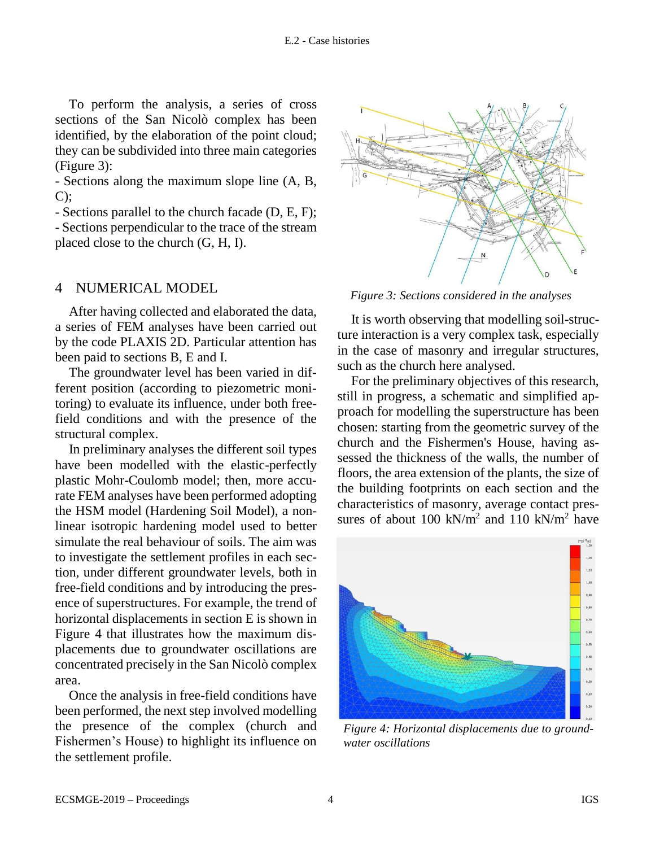To perform the analysis, a series of cross sections of the San Nicolò complex has been identified, by the elaboration of the point cloud; they can be subdivided into three main categories (Figure 3):

- Sections along the maximum slope line (A, B,  $C$ :

- Sections parallel to the church facade (D, E, F); - Sections perpendicular to the trace of the stream placed close to the church (G, H, I).

## 4 NUMERICAL MODEL

After having collected and elaborated the data, a series of FEM analyses have been carried out by the code PLAXIS 2D. Particular attention has been paid to sections B, E and I.

The groundwater level has been varied in different position (according to piezometric monitoring) to evaluate its influence, under both freefield conditions and with the presence of the structural complex.

In preliminary analyses the different soil types have been modelled with the elastic-perfectly plastic Mohr-Coulomb model; then, more accurate FEM analyses have been performed adopting the HSM model (Hardening Soil Model), a nonlinear isotropic hardening model used to better simulate the real behaviour of soils. The aim was to investigate the settlement profiles in each section, under different groundwater levels, both in free-field conditions and by introducing the presence of superstructures. For example, the trend of horizontal displacements in section E is shown in Figure 4 that illustrates how the maximum displacements due to groundwater oscillations are concentrated precisely in the San Nicolò complex area.

Once the analysis in free-field conditions have been performed, the next step involved modelling the presence of the complex (church and Fishermen's House) to highlight its influence on the settlement profile.



*Figure 3: Sections considered in the analyses*

It is worth observing that modelling soil-structure interaction is a very complex task, especially in the case of masonry and irregular structures, such as the church here analysed.

For the preliminary objectives of this research, still in progress, a schematic and simplified approach for modelling the superstructure has been chosen: starting from the geometric survey of the church and the Fishermen's House, having assessed the thickness of the walls, the number of floors, the area extension of the plants, the size of the building footprints on each section and the characteristics of masonry, average contact pressures of about 100 kN/ $m^2$  and 110 kN/ $m^2$  have



*Figure 4: Horizontal displacements due to groundwater oscillations*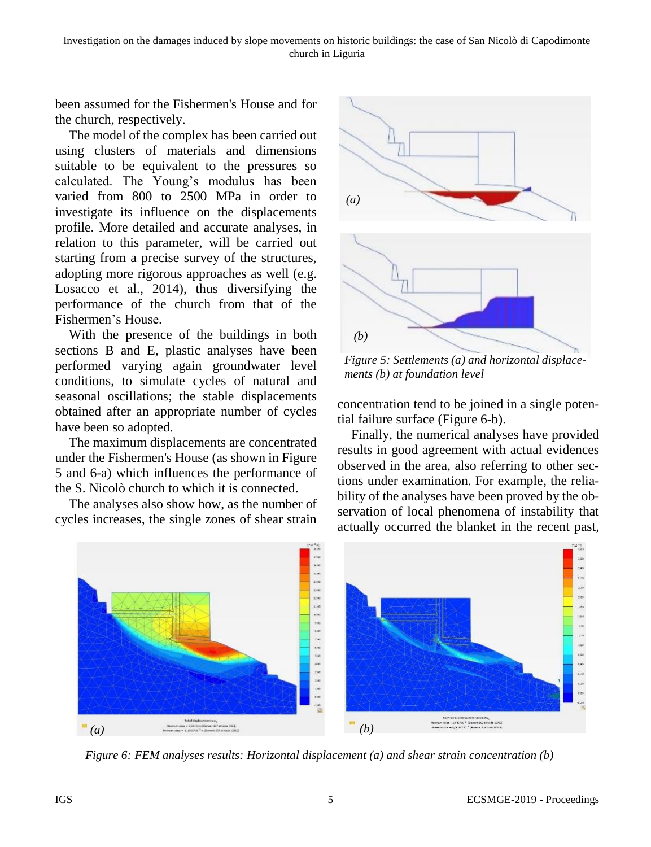Investigation on the damages induced by slope movements on historic buildings: the case of San Nicolò di Capodimonte church in Liguria

been assumed for the Fishermen's House and for the church, respectively.

The model of the complex has been carried out using clusters of materials and dimensions suitable to be equivalent to the pressures so calculated. The Young's modulus has been varied from 800 to 2500 MPa in order to investigate its influence on the displacements profile. More detailed and accurate analyses, in relation to this parameter, will be carried out starting from a precise survey of the structures, adopting more rigorous approaches as well (e.g. Losacco et al., 2014), thus diversifying the performance of the church from that of the Fishermen's House.

With the presence of the buildings in both sections B and E, plastic analyses have been performed varying again groundwater level conditions, to simulate cycles of natural and seasonal oscillations; the stable displacements obtained after an appropriate number of cycles have been so adopted.

The maximum displacements are concentrated under the Fishermen's House (as shown in Figure 5 and 6-a) which influences the performance of the S. Nicolò church to which it is connected.

The analyses also show how, as the number of cycles increases, the single zones of shear strain



*Figure 5: Settlements (a) and horizontal displacements (b) at foundation level*

concentration tend to be joined in a single potential failure surface (Figure 6-b).

Finally, the numerical analyses have provided results in good agreement with actual evidences observed in the area, also referring to other sections under examination. For example, the reliability of the analyses have been proved by the observation of local phenomena of instability that actually occurred the blanket in the recent past,



*Figure 6: FEM analyses results: Horizontal displacement (a) and shear strain concentration (b)*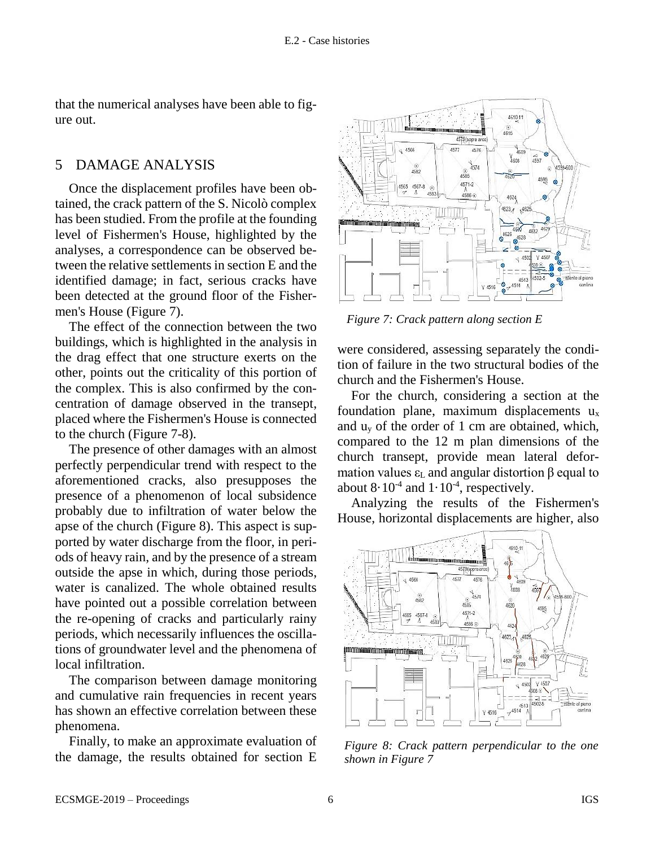that the numerical analyses have been able to figure out.

## 5 DAMAGE ANALYSIS

Once the displacement profiles have been obtained, the crack pattern of the S. Nicolò complex has been studied. From the profile at the founding level of Fishermen's House, highlighted by the analyses, a correspondence can be observed between the relative settlements in section E and the identified damage; in fact, serious cracks have been detected at the ground floor of the Fishermen's House (Figure 7).

The effect of the connection between the two buildings, which is highlighted in the analysis in the drag effect that one structure exerts on the other, points out the criticality of this portion of the complex. This is also confirmed by the concentration of damage observed in the transept, placed where the Fishermen's House is connected to the church (Figure 7-8).

The presence of other damages with an almost perfectly perpendicular trend with respect to the aforementioned cracks, also presupposes the presence of a phenomenon of local subsidence probably due to infiltration of water below the apse of the church (Figure 8). This aspect is supported by water discharge from the floor, in periods of heavy rain, and by the presence of a stream outside the apse in which, during those periods, water is canalized. The whole obtained results have pointed out a possible correlation between the re-opening of cracks and particularly rainy periods, which necessarily influences the oscillations of groundwater level and the phenomena of local infiltration.

The comparison between damage monitoring and cumulative rain frequencies in recent years has shown an effective correlation between these phenomena.

Finally, to make an approximate evaluation of the damage, the results obtained for section E



*Figure 7: Crack pattern along section E*

were considered, assessing separately the condition of failure in the two structural bodies of the church and the Fishermen's House.

For the church, considering a section at the foundation plane, maximum displacements  $u_x$ and  $u<sub>v</sub>$  of the order of 1 cm are obtained, which, compared to the 12 m plan dimensions of the church transept, provide mean lateral deformation values  $ε$ <sub>L</sub> and angular distortion β equal to about  $8 \cdot 10^{-4}$  and  $1 \cdot 10^{-4}$ , respectively.

Analyzing the results of the Fishermen's House, horizontal displacements are higher, also



*Figure 8: Crack pattern perpendicular to the one shown in Figure 7*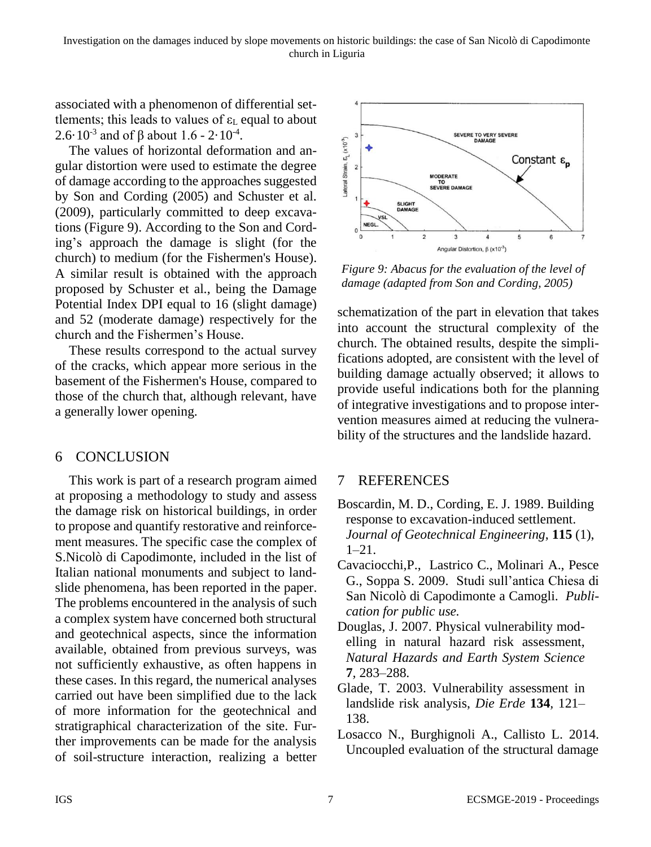associated with a phenomenon of differential settlements; this leads to values of  $\varepsilon_L$  equal to about 2.6 $\cdot$  10<sup>-3</sup> and of β about 1.6 - 2 $\cdot$  10<sup>-4</sup>.

The values of horizontal deformation and angular distortion were used to estimate the degree of damage according to the approaches suggested by Son and Cording (2005) and Schuster et al. (2009), particularly committed to deep excavations (Figure 9). According to the Son and Cording's approach the damage is slight (for the church) to medium (for the Fishermen's House). A similar result is obtained with the approach proposed by Schuster et al., being the Damage Potential Index DPI equal to 16 (slight damage) and 52 (moderate damage) respectively for the church and the Fishermen's House.

These results correspond to the actual survey of the cracks, which appear more serious in the basement of the Fishermen's House, compared to those of the church that, although relevant, have a generally lower opening.

# 6 CONCLUSION

This work is part of a research program aimed at proposing a methodology to study and assess the damage risk on historical buildings, in order to propose and quantify restorative and reinforcement measures. The specific case the complex of S.Nicolò di Capodimonte, included in the list of Italian national monuments and subject to landslide phenomena, has been reported in the paper. The problems encountered in the analysis of such a complex system have concerned both structural and geotechnical aspects, since the information available, obtained from previous surveys, was not sufficiently exhaustive, as often happens in these cases. In this regard, the numerical analyses carried out have been simplified due to the lack of more information for the geotechnical and stratigraphical characterization of the site. Further improvements can be made for the analysis of soil-structure interaction, realizing a better



*Figure 9: Abacus for the evaluation of the level of damage (adapted from Son and Cording, 2005)*

schematization of the part in elevation that takes into account the structural complexity of the church. The obtained results, despite the simplifications adopted, are consistent with the level of building damage actually observed; it allows to provide useful indications both for the planning of integrative investigations and to propose intervention measures aimed at reducing the vulnerability of the structures and the landslide hazard.

# 7 REFERENCES

- Boscardin, M. D., Cording, E. J. 1989. Building response to excavation-induced settlement. *Journal of Geotechnical Engineering*, **115** (1), 1–21.
- Cavaciocchi,P., Lastrico C., Molinari A., Pesce G., Soppa S. 2009. Studi sull'antica Chiesa di San Nicolò di Capodimonte a Camogli. *Publication for public use.*
- Douglas, J. 2007. Physical vulnerability modelling in natural hazard risk assessment, *Natural Hazards and Earth System Science*  **7***,* 283–288.
- Glade, T. 2003. Vulnerability assessment in landslide risk analysis, *Die Erde* **134***,* 121– 138.
- Losacco N., Burghignoli A., Callisto L. 2014. [Uncoupled evaluation of the structural damage](https://scholar.google.it/scholar?oi=bibs&cluster=17995530225803773918&btnI=1&hl=it)